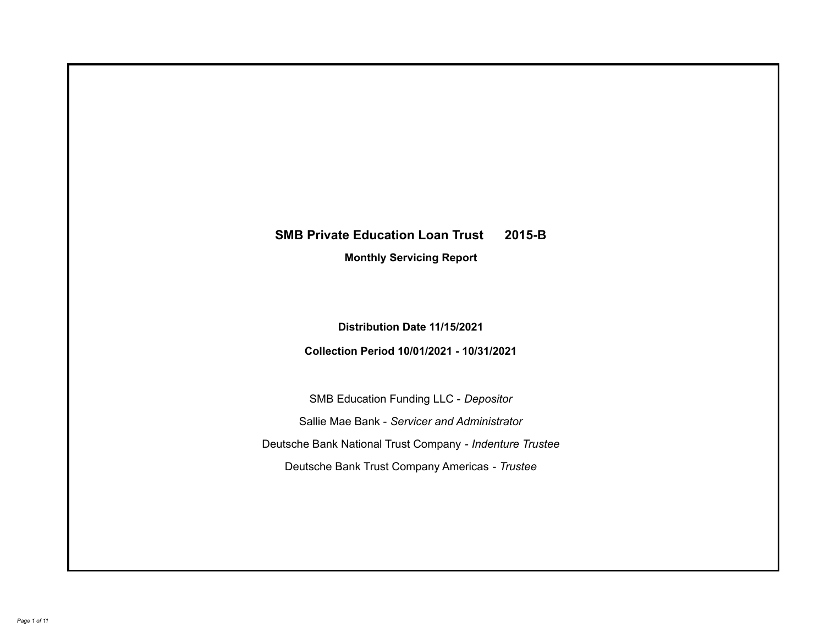# **SMB Private Education Loan Trust 2015-B**

**Monthly Servicing Report**

**Distribution Date 11/15/2021**

**Collection Period 10/01/2021 - 10/31/2021**

SMB Education Funding LLC - *Depositor* Sallie Mae Bank - *Servicer and Administrator* Deutsche Bank National Trust Company - *Indenture Trustee* Deutsche Bank Trust Company Americas - *Trustee*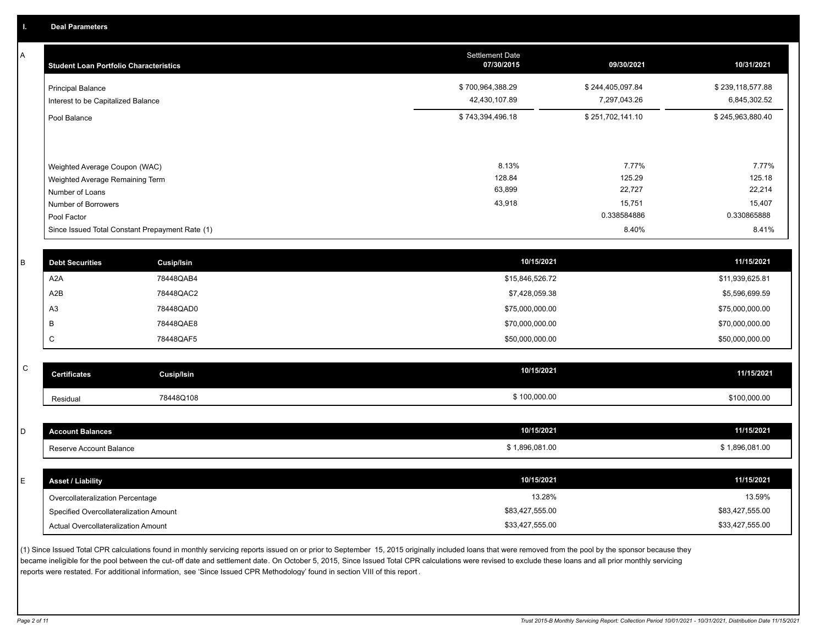A

| <b>Student Loan Portfolio Characteristics</b>           | <b>Settlement Date</b><br>07/30/2015 | 09/30/2021                       | 10/31/2021                       |
|---------------------------------------------------------|--------------------------------------|----------------------------------|----------------------------------|
| Principal Balance<br>Interest to be Capitalized Balance | \$700,964,388.29<br>42,430,107.89    | \$244,405,097.84<br>7,297,043.26 | \$239,118,577.88<br>6,845,302.52 |
| Pool Balance                                            | \$743,394,496.18                     | \$251,702,141.10                 | \$245,963,880.40                 |
|                                                         |                                      |                                  |                                  |
| Weighted Average Coupon (WAC)                           | 8.13%                                | 7.77%                            | 7.77%                            |
| Weighted Average Remaining Term                         | 128.84                               | 125.29                           | 125.18                           |
| Number of Loans                                         | 63,899                               | 22,727                           | 22,214                           |
| Number of Borrowers                                     | 43,918                               | 15,751                           | 15,407                           |
| Pool Factor                                             |                                      | 0.338584886                      | 0.330865888                      |
| Since Issued Total Constant Prepayment Rate (1)         |                                      | 8.40%                            | 8.41%                            |

| <b>Debt Securities</b> | <b>Cusip/Isin</b> | 10/15/2021      | 11/15/2021      |
|------------------------|-------------------|-----------------|-----------------|
| A <sub>2</sub> A       | 78448QAB4         | \$15,846,526.72 | \$11,939,625.81 |
| A2B                    | 78448QAC2         | \$7,428,059.38  | \$5,596,699.59  |
| A <sub>3</sub>         | 78448QAD0         | \$75,000,000.00 | \$75,000,000.00 |
|                        | 78448QAE8         | \$70,000,000.00 | \$70,000,000.00 |
|                        | 78448QAF5         | \$50,000,000.00 | \$50,000,000.00 |

| $\sim$<br>◡ | <b>Certificates</b> | Cusip/Isin | 10/15/2021 | 11/15/2021   |
|-------------|---------------------|------------|------------|--------------|
|             | Residual            | 78448Q108  | 100,000.00 | \$100,000.00 |

| <b>Account Balances</b>                | 10/15/2021      | 11/15/2021      |
|----------------------------------------|-----------------|-----------------|
| Reserve Account Balance                | \$1,896,081.00  | \$1,896,081.00  |
|                                        |                 |                 |
| <b>Asset / Liability</b>               | 10/15/2021      | 11/15/2021      |
| Overcollateralization Percentage       | 13.28%          | 13.59%          |
| Specified Overcollateralization Amount | \$83,427,555.00 | \$83,427,555.00 |
| Actual Overcollateralization Amount    | \$33,427,555.00 | \$33,427,555.00 |

(1) Since Issued Total CPR calculations found in monthly servicing reports issued on or prior to September 15, 2015 originally included loans that were removed from the pool by the sponsor because they became ineligible for the pool between the cut-off date and settlement date. On October 5, 2015, Since Issued Total CPR calculations were revised to exclude these loans and all prior monthly servicing reports were restated. For additional information, see 'Since Issued CPR Methodology' found in section VIII of this report .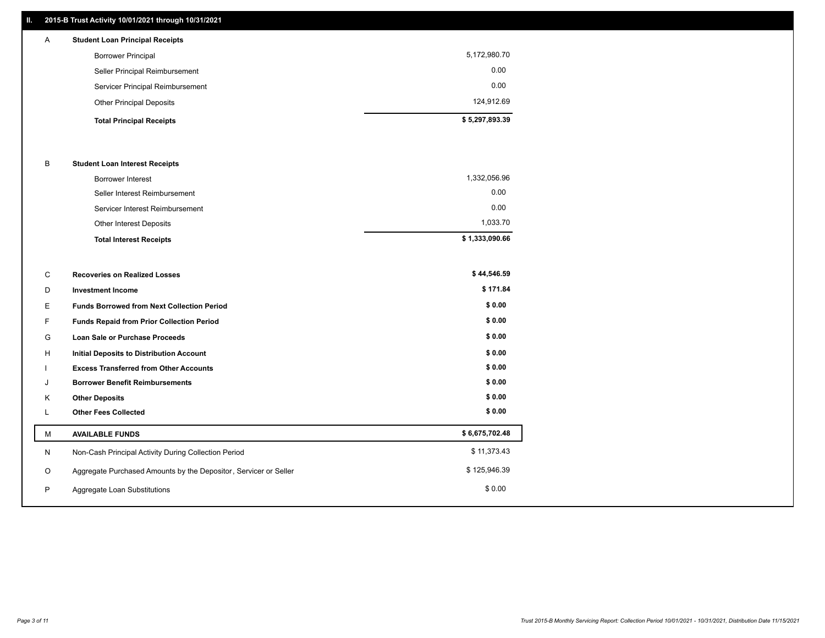# **II. 2015-B Trust Activity 10/01/2021 through 10/31/2021**

| A | <b>Student Loan Principal Receipts</b> |                |
|---|----------------------------------------|----------------|
|   | <b>Borrower Principal</b>              | 5,172,980.70   |
|   | Seller Principal Reimbursement         | 0.00           |
|   | Servicer Principal Reimbursement       | 0.00           |
|   | <b>Other Principal Deposits</b>        | 124,912.69     |
|   | <b>Total Principal Receipts</b>        | \$5,297,893.39 |

#### B **Student Loan Interest Receipts**

| <b>Total Interest Receipts</b>  | \$1,333,090.66 |
|---------------------------------|----------------|
| Other Interest Deposits         | 1,033.70       |
| Servicer Interest Reimbursement | 0.00           |
| Seller Interest Reimbursement   | 0.00           |
| <b>Borrower Interest</b>        | 1,332,056.96   |

| С | <b>Recoveries on Realized Losses</b>                             | \$44,546.59    |
|---|------------------------------------------------------------------|----------------|
| D | <b>Investment Income</b>                                         | \$171.84       |
| Е | <b>Funds Borrowed from Next Collection Period</b>                | \$0.00         |
| F | <b>Funds Repaid from Prior Collection Period</b>                 | \$0.00         |
| G | <b>Loan Sale or Purchase Proceeds</b>                            | \$0.00         |
| H | <b>Initial Deposits to Distribution Account</b>                  | \$0.00         |
|   | <b>Excess Transferred from Other Accounts</b>                    | \$0.00         |
| J | <b>Borrower Benefit Reimbursements</b>                           | \$0.00         |
| K | <b>Other Deposits</b>                                            | \$0.00         |
| L | <b>Other Fees Collected</b>                                      | \$0.00         |
| M | <b>AVAILABLE FUNDS</b>                                           | \$6,675,702.48 |
| N | Non-Cash Principal Activity During Collection Period             | \$11,373.43    |
| O | Aggregate Purchased Amounts by the Depositor, Servicer or Seller | \$125,946.39   |
| P | Aggregate Loan Substitutions                                     | \$0.00         |
|   |                                                                  |                |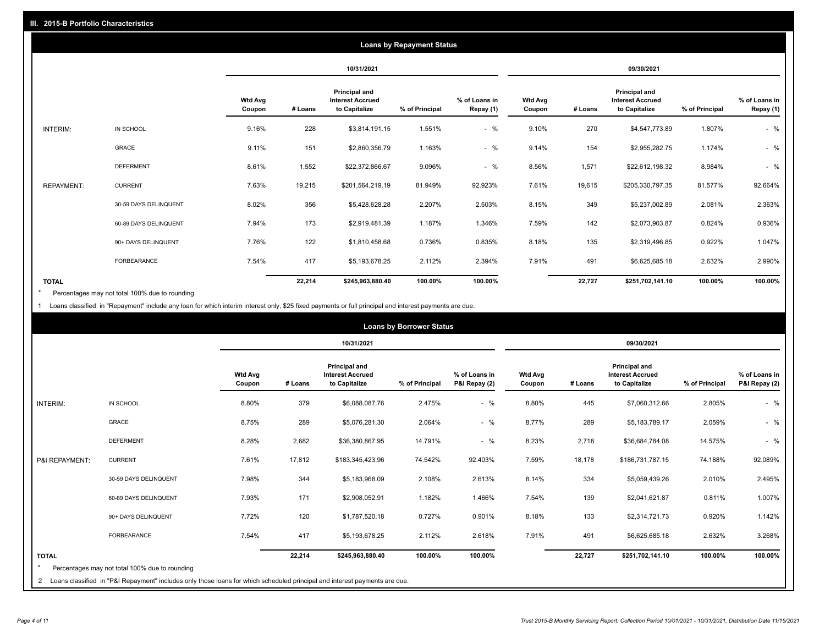| <b>Loans by Repayment Status</b> |                       |                          |            |                                                           |                |                            |                          |         |                                                           |                |                            |
|----------------------------------|-----------------------|--------------------------|------------|-----------------------------------------------------------|----------------|----------------------------|--------------------------|---------|-----------------------------------------------------------|----------------|----------------------------|
|                                  |                       |                          | 10/31/2021 |                                                           |                | 09/30/2021                 |                          |         |                                                           |                |                            |
|                                  |                       | <b>Wtd Avg</b><br>Coupon | # Loans    | Principal and<br><b>Interest Accrued</b><br>to Capitalize | % of Principal | % of Loans in<br>Repay (1) | <b>Wtd Avg</b><br>Coupon | # Loans | Principal and<br><b>Interest Accrued</b><br>to Capitalize | % of Principal | % of Loans in<br>Repay (1) |
| INTERIM:                         | IN SCHOOL             | 9.16%                    | 228        | \$3,814,191.15                                            | 1.551%         | $-$ %                      | 9.10%                    | 270     | \$4,547,773.89                                            | 1.807%         | $-$ %                      |
|                                  | GRACE                 | 9.11%                    | 151        | \$2,860,356.79                                            | 1.163%         | $-$ %                      | 9.14%                    | 154     | \$2,955,282.75                                            | 1.174%         | $-$ %                      |
|                                  | <b>DEFERMENT</b>      | 8.61%                    | 1,552      | \$22,372,866.67                                           | 9.096%         | $-$ %                      | 8.56%                    | 1,571   | \$22,612,198.32                                           | 8.984%         | $-$ %                      |
| <b>REPAYMENT:</b>                | <b>CURRENT</b>        | 7.63%                    | 19,215     | \$201,564,219.19                                          | 81.949%        | 92.923%                    | 7.61%                    | 19,615  | \$205,330,797.35                                          | 81.577%        | 92.664%                    |
|                                  | 30-59 DAYS DELINQUENT | 8.02%                    | 356        | \$5,428,628.28                                            | 2.207%         | 2.503%                     | 8.15%                    | 349     | \$5,237,002.89                                            | 2.081%         | 2.363%                     |
|                                  | 60-89 DAYS DELINQUENT | 7.94%                    | 173        | \$2,919,481.39                                            | 1.187%         | 1.346%                     | 7.59%                    | 142     | \$2,073,903.87                                            | 0.824%         | 0.936%                     |
|                                  | 90+ DAYS DELINQUENT   | 7.76%                    | 122        | \$1,810,458.68                                            | 0.736%         | 0.835%                     | 8.18%                    | 135     | \$2,319,496.85                                            | 0.922%         | 1.047%                     |
|                                  | <b>FORBEARANCE</b>    | 7.54%                    | 417        | \$5,193,678.25                                            | 2.112%         | 2.394%                     | 7.91%                    | 491     | \$6,625,685.18                                            | 2.632%         | 2.990%                     |
| <b>TOTAL</b>                     |                       |                          | 22,214     | \$245,963,880.40                                          | 100.00%        | 100.00%                    |                          | 22,727  | \$251,702,141.10                                          | 100.00%        | 100.00%                    |

Percentages may not total 100% due to rounding \*

1 Loans classified in "Repayment" include any loan for which interim interest only, \$25 fixed payments or full principal and interest payments are due.

|                | <b>Loans by Borrower Status</b>                                                                                              |                          |         |                                                                  |                |                                |                          |         |                                                                  |                |                                |
|----------------|------------------------------------------------------------------------------------------------------------------------------|--------------------------|---------|------------------------------------------------------------------|----------------|--------------------------------|--------------------------|---------|------------------------------------------------------------------|----------------|--------------------------------|
|                |                                                                                                                              |                          |         | 10/31/2021                                                       |                |                                | 09/30/2021               |         |                                                                  |                |                                |
|                |                                                                                                                              | <b>Wtd Avg</b><br>Coupon | # Loans | <b>Principal and</b><br><b>Interest Accrued</b><br>to Capitalize | % of Principal | % of Loans in<br>P&I Repay (2) | <b>Wtd Avg</b><br>Coupon | # Loans | <b>Principal and</b><br><b>Interest Accrued</b><br>to Capitalize | % of Principal | % of Loans in<br>P&I Repay (2) |
| INTERIM:       | IN SCHOOL                                                                                                                    | 8.80%                    | 379     | \$6,088,087.76                                                   | 2.475%         | $-$ %                          | 8.80%                    | 445     | \$7,060,312.66                                                   | 2.805%         | $-$ %                          |
|                | <b>GRACE</b>                                                                                                                 | 8.75%                    | 289     | \$5,076,281.30                                                   | 2.064%         | $-$ %                          | 8.77%                    | 289     | \$5,183,789.17                                                   | 2.059%         | $-$ %                          |
|                | <b>DEFERMENT</b>                                                                                                             | 8.28%                    | 2,682   | \$36,380,867.95                                                  | 14.791%        | $-$ %                          | 8.23%                    | 2,718   | \$36,684,784.08                                                  | 14.575%        | $-$ %                          |
| P&I REPAYMENT: | <b>CURRENT</b>                                                                                                               | 7.61%                    | 17,812  | \$183,345,423.96                                                 | 74.542%        | 92.403%                        | 7.59%                    | 18,178  | \$186,731,787.15                                                 | 74.188%        | 92.089%                        |
|                | 30-59 DAYS DELINQUENT                                                                                                        | 7.98%                    | 344     | \$5,183,968.09                                                   | 2.108%         | 2.613%                         | 8.14%                    | 334     | \$5,059,439.26                                                   | 2.010%         | 2.495%                         |
|                | 60-89 DAYS DELINQUENT                                                                                                        | 7.93%                    | 171     | \$2,908,052.91                                                   | 1.182%         | 1.466%                         | 7.54%                    | 139     | \$2,041,621.87                                                   | 0.811%         | 1.007%                         |
|                | 90+ DAYS DELINQUENT                                                                                                          | 7.72%                    | 120     | \$1,787,520.18                                                   | 0.727%         | 0.901%                         | 8.18%                    | 133     | \$2,314,721.73                                                   | 0.920%         | 1.142%                         |
|                | <b>FORBEARANCE</b>                                                                                                           | 7.54%                    | 417     | \$5,193,678.25                                                   | 2.112%         | 2.618%                         | 7.91%                    | 491     | \$6,625,685.18                                                   | 2.632%         | 3.268%                         |
| <b>TOTAL</b>   |                                                                                                                              |                          | 22,214  | \$245,963,880.40                                                 | 100.00%        | 100.00%                        |                          | 22,727  | \$251,702,141.10                                                 | 100.00%        | 100.00%                        |
|                | Percentages may not total 100% due to rounding                                                                               |                          |         |                                                                  |                |                                |                          |         |                                                                  |                |                                |
|                | 2 Loans classified in "P&I Repayment" includes only those loans for which scheduled principal and interest payments are due. |                          |         |                                                                  |                |                                |                          |         |                                                                  |                |                                |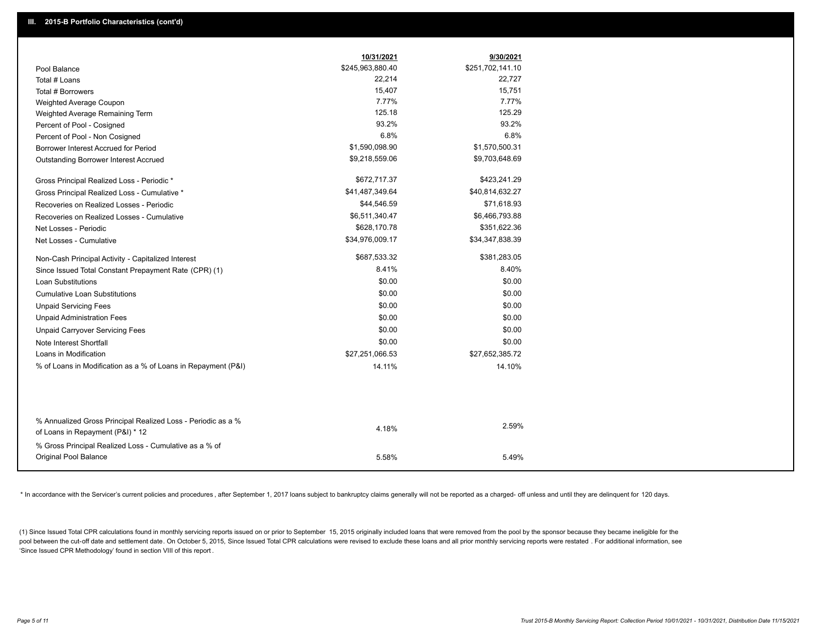|                                                               | 10/31/2021       | 9/30/2021        |
|---------------------------------------------------------------|------------------|------------------|
| Pool Balance                                                  | \$245,963,880.40 | \$251,702,141.10 |
| Total # Loans                                                 | 22,214           | 22,727           |
| Total # Borrowers                                             | 15,407           | 15,751           |
| Weighted Average Coupon                                       | 7.77%            | 7.77%            |
| Weighted Average Remaining Term                               | 125.18           | 125.29           |
| Percent of Pool - Cosigned                                    | 93.2%            | 93.2%            |
| Percent of Pool - Non Cosigned                                | 6.8%             | 6.8%             |
| Borrower Interest Accrued for Period                          | \$1,590,098.90   | \$1,570,500.31   |
| Outstanding Borrower Interest Accrued                         | \$9,218,559.06   | \$9,703,648.69   |
| Gross Principal Realized Loss - Periodic *                    | \$672,717.37     | \$423,241.29     |
| Gross Principal Realized Loss - Cumulative *                  | \$41,487,349.64  | \$40,814,632.27  |
| Recoveries on Realized Losses - Periodic                      | \$44,546.59      | \$71,618.93      |
| Recoveries on Realized Losses - Cumulative                    | \$6,511,340.47   | \$6,466,793.88   |
| Net Losses - Periodic                                         | \$628,170.78     | \$351,622.36     |
| Net Losses - Cumulative                                       | \$34,976,009.17  | \$34,347,838.39  |
| Non-Cash Principal Activity - Capitalized Interest            | \$687,533.32     | \$381,283.05     |
| Since Issued Total Constant Prepayment Rate (CPR) (1)         | 8.41%            | 8.40%            |
| <b>Loan Substitutions</b>                                     | \$0.00           | \$0.00           |
| <b>Cumulative Loan Substitutions</b>                          | \$0.00           | \$0.00           |
| <b>Unpaid Servicing Fees</b>                                  | \$0.00           | \$0.00           |
| <b>Unpaid Administration Fees</b>                             | \$0.00           | \$0.00           |
| <b>Unpaid Carryover Servicing Fees</b>                        | \$0.00           | \$0.00           |
| Note Interest Shortfall                                       | \$0.00           | \$0.00           |
| Loans in Modification                                         | \$27,251,066.53  | \$27,652,385.72  |
| % of Loans in Modification as a % of Loans in Repayment (P&I) | 14.11%           | 14.10%           |
|                                                               |                  |                  |
| % Annualized Gross Principal Realized Loss - Periodic as a %  |                  |                  |
| of Loans in Repayment (P&I) * 12                              | 4.18%            | 2.59%            |
| % Gross Principal Realized Loss - Cumulative as a % of        |                  |                  |
| Original Pool Balance                                         | 5.58%            | 5.49%            |

\* In accordance with the Servicer's current policies and procedures, after September 1, 2017 loans subject to bankruptcy claims generally will not be reported as a charged- off unless and until they are delinquent for 120

(1) Since Issued Total CPR calculations found in monthly servicing reports issued on or prior to September 15, 2015 originally included loans that were removed from the pool by the sponsor because they became ineligible fo pool between the cut-off date and settlement date. On October 5, 2015, Since Issued Total CPR calculations were revised to exclude these loans and all prior monthly servicing reports were restated. For additional informati 'Since Issued CPR Methodology' found in section VIII of this report .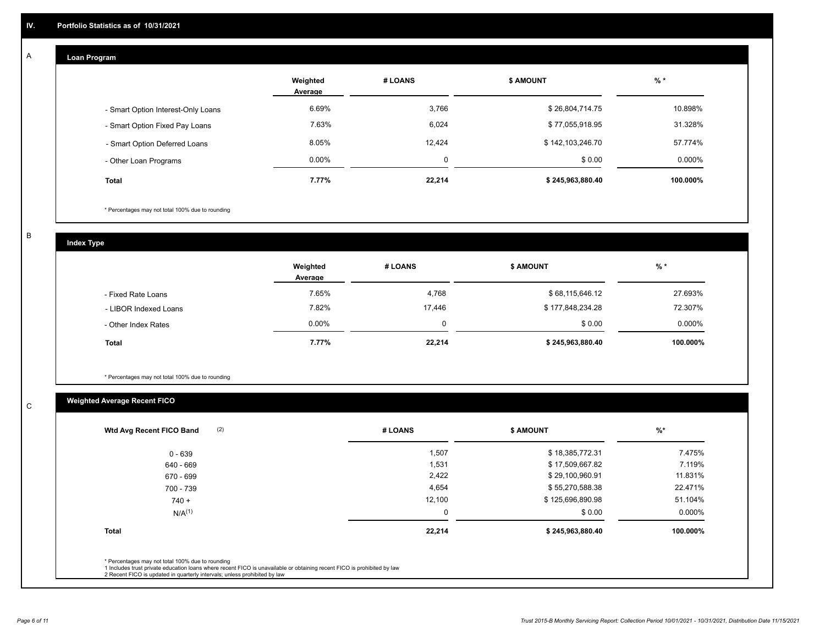#### **Loan Program**  A

|                                    | Weighted<br># LOANS<br>Average |          | <b>\$ AMOUNT</b> | $%$ *    |
|------------------------------------|--------------------------------|----------|------------------|----------|
| - Smart Option Interest-Only Loans | 6.69%                          | 3,766    | \$26,804,714.75  | 10.898%  |
| - Smart Option Fixed Pay Loans     | 7.63%                          | 6,024    | \$77,055,918.95  | 31.328%  |
| - Smart Option Deferred Loans      | 8.05%                          | 12,424   | \$142,103,246.70 | 57.774%  |
| - Other Loan Programs              | $0.00\%$                       | $\Omega$ | \$0.00           | 0.000%   |
| <b>Total</b>                       | 7.77%                          | 22,214   | \$245,963,880.40 | 100.000% |

\* Percentages may not total 100% due to rounding

B

C

**Index Type**

|                       | Weighted<br>Average | # LOANS | <b>\$ AMOUNT</b> | % *       |
|-----------------------|---------------------|---------|------------------|-----------|
| - Fixed Rate Loans    | 7.65%               | 4,768   | \$68,115,646.12  | 27.693%   |
| - LIBOR Indexed Loans | 7.82%               | 17.446  | \$177,848,234.28 | 72.307%   |
| - Other Index Rates   | $0.00\%$            |         | \$0.00           | $0.000\%$ |
| <b>Total</b>          | 7.77%               | 22,214  | \$245,963,880.40 | 100.000%  |

\* Percentages may not total 100% due to rounding

# **Weighted Average Recent FICO**

| 1,507<br>1,531<br>2,422 | \$18,385,772.31<br>\$17,509,667.82 | 7.475%<br>7.119% |
|-------------------------|------------------------------------|------------------|
|                         |                                    |                  |
|                         |                                    |                  |
|                         | \$29,100,960.91                    | 11.831%          |
| 4,654                   | \$55,270,588.38                    | 22.471%          |
| 12,100                  | \$125,696,890.98                   | 51.104%          |
| 0                       | \$0.00                             | 0.000%           |
| 22,214                  | \$245,963,880.40                   | 100.000%         |
|                         |                                    |                  |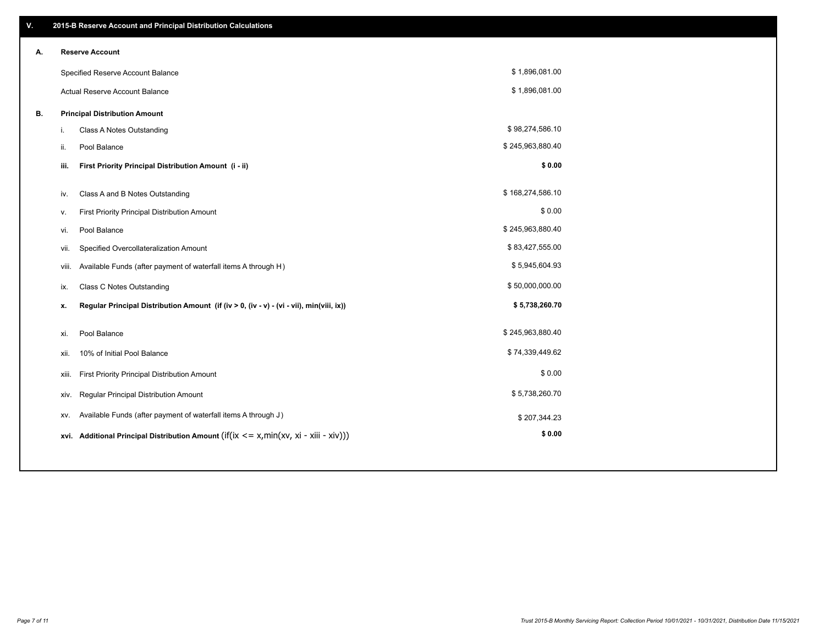| V. |                        | 2015-B Reserve Account and Principal Distribution Calculations                                      |                  |  |
|----|------------------------|-----------------------------------------------------------------------------------------------------|------------------|--|
| А. | <b>Reserve Account</b> |                                                                                                     |                  |  |
|    |                        | Specified Reserve Account Balance                                                                   | \$1,896,081.00   |  |
|    |                        | Actual Reserve Account Balance                                                                      | \$1,896,081.00   |  |
| В. |                        | <b>Principal Distribution Amount</b>                                                                |                  |  |
|    | i.                     | Class A Notes Outstanding                                                                           | \$98,274,586.10  |  |
|    | Pool Balance<br>ii.    |                                                                                                     | \$245,963,880.40 |  |
|    | iii.                   | First Priority Principal Distribution Amount (i - ii)                                               | \$0.00           |  |
|    |                        |                                                                                                     | \$168,274,586.10 |  |
|    | iv.                    | Class A and B Notes Outstanding                                                                     | \$0.00           |  |
|    | ٧.                     | First Priority Principal Distribution Amount                                                        |                  |  |
|    | Pool Balance<br>vi.    |                                                                                                     | \$245,963,880.40 |  |
|    | vii.                   | Specified Overcollateralization Amount                                                              | \$83,427,555.00  |  |
|    | viii.                  | Available Funds (after payment of waterfall items A through H)                                      | \$5,945,604.93   |  |
|    | ix.                    | <b>Class C Notes Outstanding</b>                                                                    | \$50,000,000.00  |  |
|    | х.                     | Regular Principal Distribution Amount (if (iv > 0, (iv - v) - (vi - vii), min(viii, ix))            | \$5,738,260.70   |  |
|    | Pool Balance           |                                                                                                     | \$245,963,880.40 |  |
|    | xi.                    |                                                                                                     |                  |  |
|    | xii.                   | 10% of Initial Pool Balance                                                                         | \$74,339,449.62  |  |
|    | xiii.                  | First Priority Principal Distribution Amount                                                        | \$0.00           |  |
|    | xiv.                   | Regular Principal Distribution Amount                                                               | \$5,738,260.70   |  |
|    | XV.                    | Available Funds (after payment of waterfall items A through J)                                      | \$207,344.23     |  |
|    |                        | xvi. Additional Principal Distribution Amount (if( $ix \le x$ , min( $xv$ , $xi$ - $xiii - xiv$ ))) | \$0.00           |  |
|    |                        |                                                                                                     |                  |  |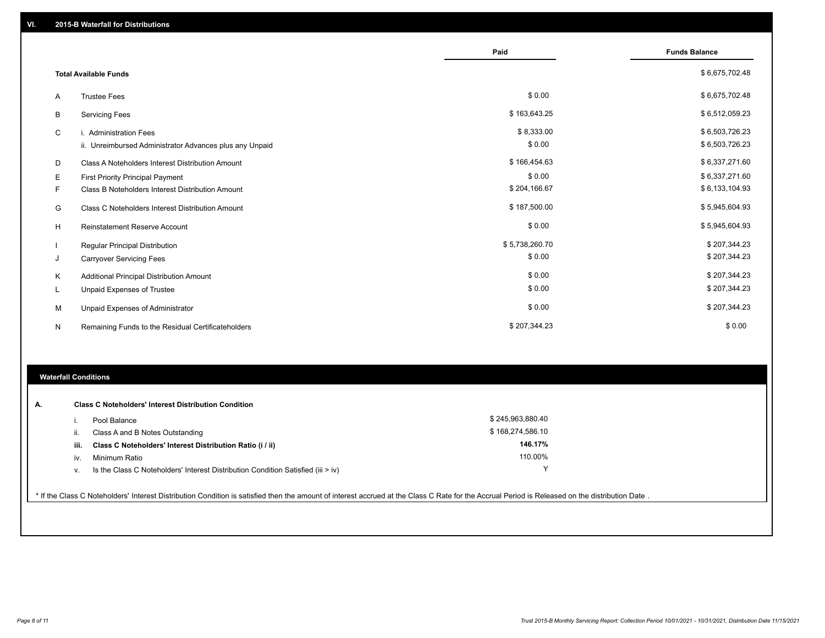|   |                                                         | Paid           | <b>Funds Balance</b> |
|---|---------------------------------------------------------|----------------|----------------------|
|   | <b>Total Available Funds</b>                            |                | \$6,675,702.48       |
| Α | <b>Trustee Fees</b>                                     | \$0.00         | \$6,675,702.48       |
| B | <b>Servicing Fees</b>                                   | \$163,643.25   | \$6,512,059.23       |
| C | i. Administration Fees                                  | \$8,333.00     | \$6,503,726.23       |
|   | ii. Unreimbursed Administrator Advances plus any Unpaid | \$0.00         | \$6,503,726.23       |
| D | Class A Noteholders Interest Distribution Amount        | \$166,454.63   | \$6,337,271.60       |
| Е | <b>First Priority Principal Payment</b>                 | \$0.00         | \$6,337,271.60       |
| F | Class B Noteholders Interest Distribution Amount        | \$204,166.67   | \$6,133,104.93       |
| G | <b>Class C Noteholders Interest Distribution Amount</b> | \$187,500.00   | \$5,945,604.93       |
| H | <b>Reinstatement Reserve Account</b>                    | \$0.00         | \$5,945,604.93       |
|   | <b>Regular Principal Distribution</b>                   | \$5,738,260.70 | \$207,344.23         |
| J | <b>Carryover Servicing Fees</b>                         | \$0.00         | \$207,344.23         |
| Κ | Additional Principal Distribution Amount                | \$0.00         | \$207,344.23         |
| L | Unpaid Expenses of Trustee                              | \$0.00         | \$207,344.23         |
| M | Unpaid Expenses of Administrator                        | \$0.00         | \$207,344.23         |
| N | Remaining Funds to the Residual Certificateholders      | \$207,344.23   | \$0.00               |

## **Waterfall Conditions**

| А. |      | <b>Class C Noteholders' Interest Distribution Condition</b>                        |                  |  |
|----|------|------------------------------------------------------------------------------------|------------------|--|
|    |      | Pool Balance                                                                       | \$245,963,880.40 |  |
|    | ii.  | Class A and B Notes Outstanding                                                    | \$168,274,586.10 |  |
|    | iii. | Class C Noteholders' Interest Distribution Ratio (i / ii)                          | 146.17%          |  |
|    | iv.  | Minimum Ratio                                                                      | 110.00%          |  |
|    | V.   | Is the Class C Noteholders' Interest Distribution Condition Satisfied (iii $>$ iv) |                  |  |
|    |      |                                                                                    |                  |  |

\* If the Class C Noteholders' Interest Distribution Condition is satisfied then the amount of interest accrued at the Class C Rate for the Accrual Period is Released on the distribution Date .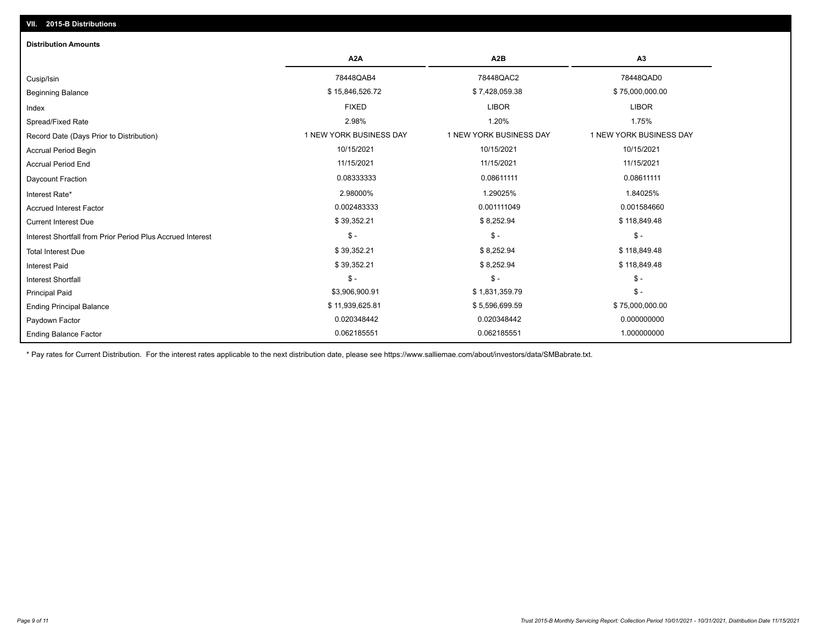# Ending Balance Factor Paydown Factor 0.020348442 0.020348442 0.000000000 Ending Principal Balance \$ 75,000,000.00 \$ 11,939,625.81 \$ \$5,596,699.59 \$ 5,596,699.59 \$ 75,000,000.00 Principal Paid \$3,906,900.91 \$ 1,831,359.79 \$ - \$ - \$ - \$ - Interest Shortfall \$ 39,352.21 \$ 8,252.94 \$ 118,849.48 Interest Paid Total Interest Due \$ 39,352.21 \$ 8,252.94 \$ 118,849.48 \$ - \$ - \$ - Interest Shortfall from Prior Period Plus Accrued Interest Current Interest Due \$ 39,352.21 \$ 8,252.94 \$ 118,849.48 Accrued Interest Factor 0.002483333 0.001111049 0.001584660 Interest Rate\* 2.98000% 1.29025% 1.84025% Daycount Fraction 0.08333333 0.08611111 0.08611111 Accrual Period End 11/15/2021 11/15/2021 11/15/2021 Accrual Period Begin 10/15/2021 10/15/2021 10/15/2021 Record Date (Days Prior to Distribution) **1 NEW YORK BUSINESS DAY** 1 NEW YORK BUSINESS DAY 1 NEW YORK BUSINESS DAY Spread/Fixed Rate 2.98% 1.20% 1.75% Index FIXED LIBOR LIBOR Beginning Balance \$ 15,000,000.00 \$ \$ 15,846,526.72 \$ \$ 7,428,059.38 \$ 75,000,000.00 \$ 75,000,000.00 \$ \$ 75,000 Cusip/Isin 78448QAB4 78448QAC2 78448QAD0 **A2A A2B A3** 0.062185551 0.062185551 1.000000000 **Distribution Amounts**

\* Pay rates for Current Distribution. For the interest rates applicable to the next distribution date, please see https://www.salliemae.com/about/investors/data/SMBabrate.txt.

**VII. 2015-B Distributions**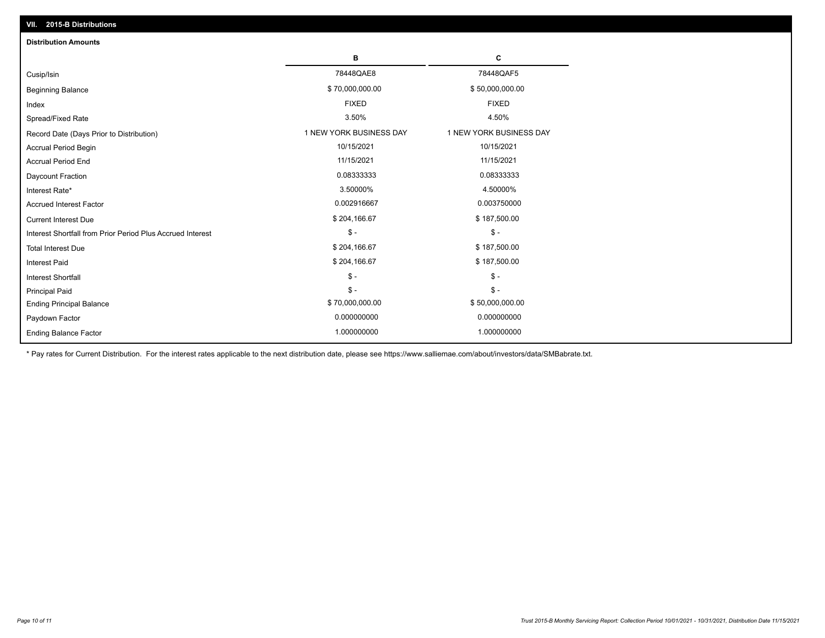| VII. 2015-B Distributions                                  |                         |                         |
|------------------------------------------------------------|-------------------------|-------------------------|
| <b>Distribution Amounts</b>                                |                         |                         |
|                                                            | в                       | c                       |
| Cusip/Isin                                                 | 78448QAE8               | 78448QAF5               |
| <b>Beginning Balance</b>                                   | \$70,000,000.00         | \$50,000,000.00         |
| Index                                                      | <b>FIXED</b>            | <b>FIXED</b>            |
| Spread/Fixed Rate                                          | 3.50%                   | 4.50%                   |
| Record Date (Days Prior to Distribution)                   | 1 NEW YORK BUSINESS DAY | 1 NEW YORK BUSINESS DAY |
| Accrual Period Begin                                       | 10/15/2021              | 10/15/2021              |
| <b>Accrual Period End</b>                                  | 11/15/2021              | 11/15/2021              |
| Daycount Fraction                                          | 0.08333333              | 0.08333333              |
| Interest Rate*                                             | 3.50000%                | 4.50000%                |
| <b>Accrued Interest Factor</b>                             | 0.002916667             | 0.003750000             |
| <b>Current Interest Due</b>                                | \$204,166.67            | \$187,500.00            |
| Interest Shortfall from Prior Period Plus Accrued Interest | $$ -$                   | $\frac{2}{3}$ -         |
| <b>Total Interest Due</b>                                  | \$204,166.67            | \$187,500.00            |
| <b>Interest Paid</b>                                       | \$204,166.67            | \$187,500.00            |
| Interest Shortfall                                         | $$ -$                   | $\frac{1}{2}$           |
| <b>Principal Paid</b>                                      | $$ -$                   | $S -$                   |
| <b>Ending Principal Balance</b>                            | \$70,000,000.00         | \$50,000,000.00         |
| Paydown Factor                                             | 0.000000000             | 0.000000000             |
| <b>Ending Balance Factor</b>                               | 1.000000000             | 1.000000000             |

\* Pay rates for Current Distribution. For the interest rates applicable to the next distribution date, please see https://www.salliemae.com/about/investors/data/SMBabrate.txt.